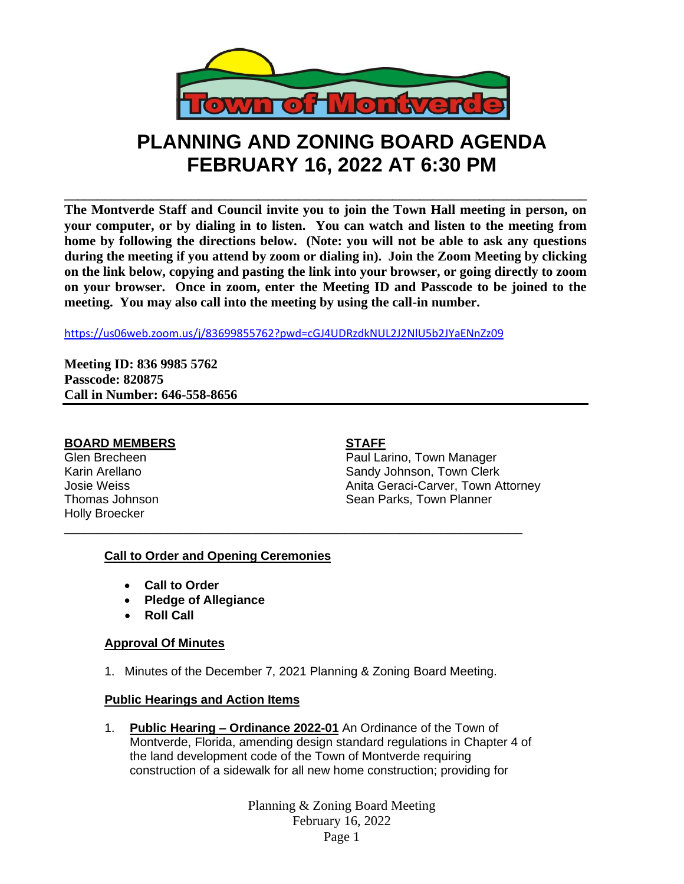

# **PLANNING AND ZONING BOARD AGENDA FEBRUARY 16, 2022 AT 6:30 PM**

**\_\_\_\_\_\_\_\_\_\_\_\_\_\_\_\_\_\_\_\_\_\_\_\_\_\_\_\_\_\_\_\_\_\_\_\_\_\_\_\_\_\_\_\_\_\_\_\_\_\_\_\_\_\_\_\_\_\_\_\_\_\_\_\_\_\_\_\_\_\_\_\_\_\_\_\_\_\_ The Montverde Staff and Council invite you to join the Town Hall meeting in person, on your computer, or by dialing in to listen. You can watch and listen to the meeting from home by following the directions below. (Note: you will not be able to ask any questions during the meeting if you attend by zoom or dialing in). Join the Zoom Meeting by clicking on the link below, copying and pasting the link into your browser, or going directly to zoom on your browser. Once in zoom, enter the Meeting ID and Passcode to be joined to the meeting. You may also call into the meeting by using the call-in number.** 

<https://us06web.zoom.us/j/83699855762?pwd=cGJ4UDRzdkNUL2J2NlU5b2JYaENnZz09>

**Meeting ID: 836 9985 5762 Passcode: 820875 Call in Number: 646-558-8656**

# **BOARD MEMBERS STAFF**

Holly Broecker

Glen Brecheen **Paul Larino**, Town Manager Karin Arellano **Sandy Johnson, Town Clerk** Josie Weiss **Anita Geraci-Carver, Town Attorney** Thomas Johnson **Sean Parks, Town Planner** Sean Parks, Town Planner

# **Call to Order and Opening Ceremonies**

- **Call to Order**
- **Pledge of Allegiance**
- **Roll Call**

# **Approval Of Minutes**

1. Minutes of the December 7, 2021 Planning & Zoning Board Meeting.

\_\_\_\_\_\_\_\_\_\_\_\_\_\_\_\_\_\_\_\_\_\_\_\_\_\_\_\_\_\_\_\_\_\_\_\_\_\_\_\_\_\_\_\_\_\_\_\_\_\_\_\_\_\_\_\_\_\_\_\_\_\_\_\_\_\_\_

# **Public Hearings and Action Items**

1. **Public Hearing – Ordinance 2022-01** An Ordinance of the Town of Montverde, Florida, amending design standard regulations in Chapter 4 of the land development code of the Town of Montverde requiring construction of a sidewalk for all new home construction; providing for

> Planning & Zoning Board Meeting February 16, 2022 Page 1